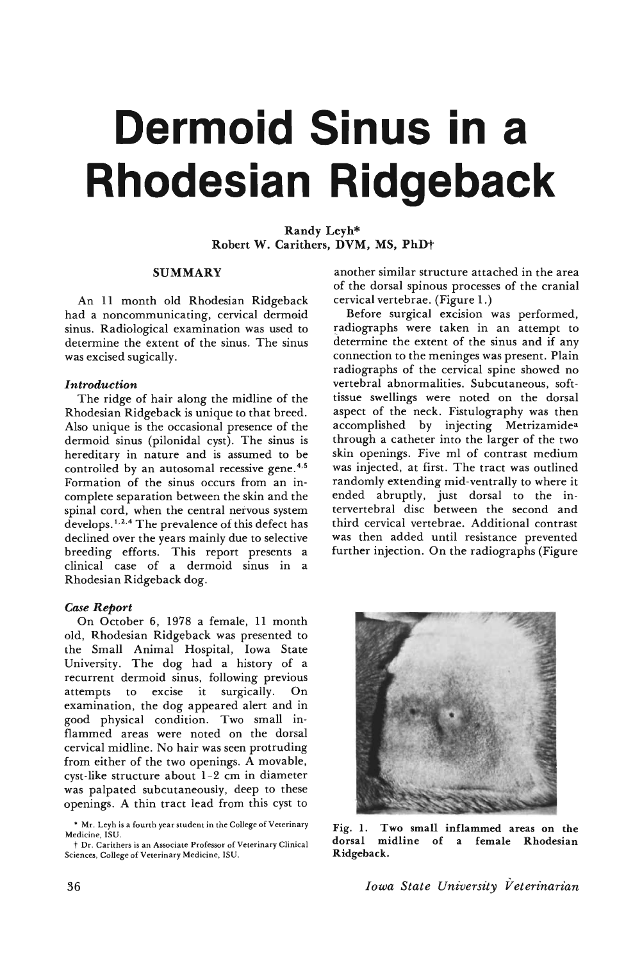# **Dermoid Sinus in a Rhodesian Ridgeback**

Randy Leyh\* Robert W. Carithers, DVM, MS, PhDt

### SUMMARY

An 11 month old Rhodesian Ridgeback had a noncommunicating, cervical dermoid sinus. Radiological examination was used to determine the extent of the sinus. The sinus was excised sugically.

### *Introduction*

The ridge of hair along the midline of the Rhodesian Ridgeback is unique to that breed. Also unique is the occasional presence of the dermoid sinus (pilonidal cyst). The sinus is hereditary in nature and is assumed to be controlled by an autosomal recessive gene.<sup>4,5</sup> Formation of the sinus occurs from an incomplete separation between the skin and the spinal cord, when the central nervous system develops. 1.2,4 The prevalence of this defect has declined over the years mainly due to selective breeding efforts. This report presents a clinical case of a dermoid sinus in a Rhodesian Ridgeback dog.

## *Case Report*

On October 6, 1978 a female, 11 month old, Rhodesian Ridgeback was presented to the Small Animal Hospital, Iowa State University. The dog had a history of a recurrent dermoid sinus, following previous attempts to excise it surgically. On examination, the dog appeared alert and in good physical condition. Two small in flammed areas were noted on the dorsal cervical midline. No hair was seen protruding from either of the two openings. A movable, cyst-like structure about 1-2 em in diameter was palpated subcutaneously, deep to these openings. A thin tract lead from this cyst to

another similar structure attached in the area of the dorsal spinous processes of the cranial cervical vertebrae. (Figure 1.)

Before surgical excision was performed, radiographs were taken in an attempt to determine the extent of the sinus and if any connection to the meninges was present. Plain radiographs of the cervical spine showed no vertebral abnormalities. Subcutaneous, softtissue swellings were noted on the dorsal aspect of the neck. Fistulography was then accomplished by injecting Metrizamidea through a catheter into the larger of the two skin openings. Five ml of contrast medium was injected, at first. The tract was outlined randomly extending mid-ventrally to where it ended abruptly, just dorsal to the intervertebral disc between the second and third cervical vertebrae. Additional contrast was then added until resistance prevented further injection. On the radiographs (Figure



Fig. 1. Two small inflammed areas on the dorsal midline of a female Rhodesian Ridgeback.

<sup>•</sup> Mr. Leyh is a fourth year student in the College of Veterinary Medicine, ISU,

t Dr. Carithers is an Associate Professor of Veterinary Clinical Sciences, College of Veterinary Medicine. ISU,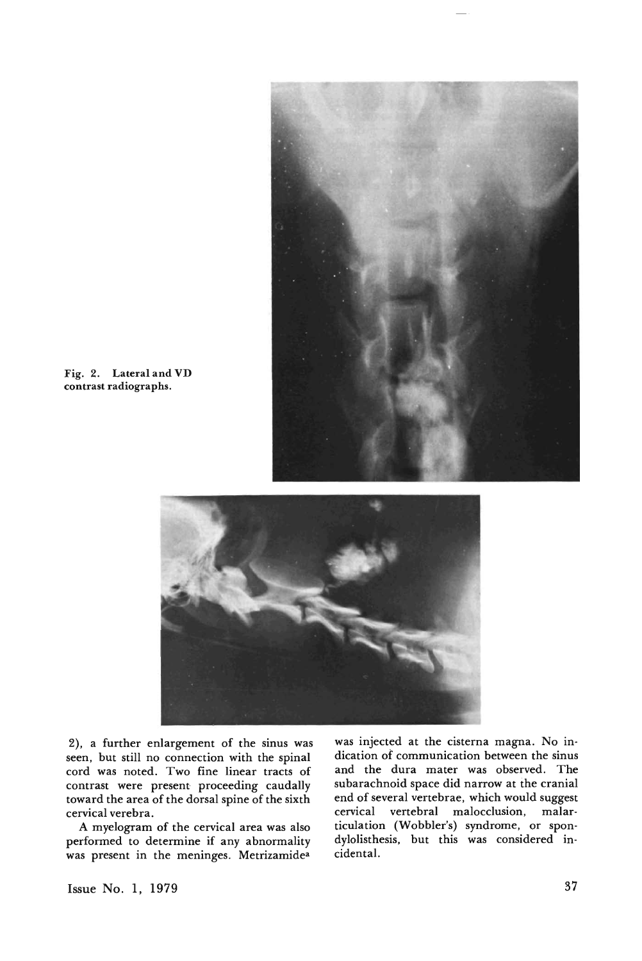

Fig. 2. Lateral and VD contrast radiographs.



2), a further enlargement of the sinus was seen, but still no connection with the spinal cord was noted. Two fine linear tracts of contrast were present proceeding caudally toward the area of the dorsal spine of the sixth cervical verebra.

A myelogram of the cervical area was also performed to determine if any abnormality was present in the meninges. Metrizamidea

was injected at the cisterna magna. No indication of communication between the sinus and the dura mater was observed. The subarachnoid space did narrow at the cranial end of several vertebrae, which would suggest cervical vertebral malocclusion, malarticulation (Wobbler's) syndrome, or spondylolisthesis, but this was considered incidental.

Issue No.1, 1979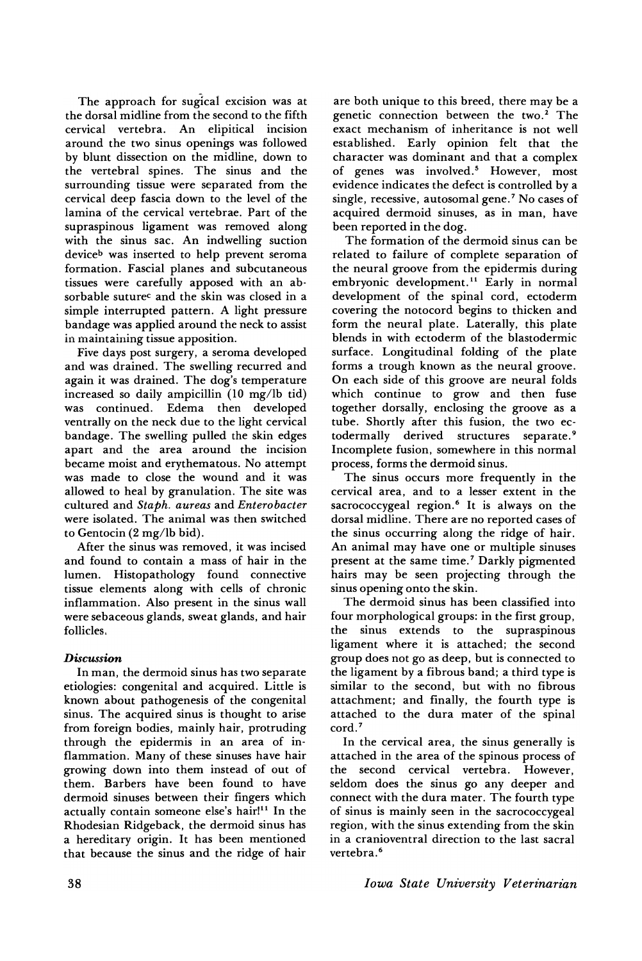The approach for sugical excision was at the dorsal midline from the second to the fifth cervical vertebra. An elipitical incision around the two sinus openings was followed by blunt dissection on the midline, down to the vertebral spines. The sinus and the surrounding tissue were separated from the cervical deep fascia down to the level of the lamina of the cervical vertebrae. Part of the supraspinous ligament was removed along with the sinus sac. An indwelling suction device<sup>b</sup> was inserted to help prevent seroma formation. Fascial planes and subcutaneous tissues were carefully apposed with an absorbable suturec and the skin was closed in a simple interrupted pattern. A light pressure bandage was applied around the neck to assist in maintaining tissue apposition.

Five days post surgery, a seroma developed and was drained. The swelling recurred and again it was drained. The dog's temperature increased so daily ampicillin (10 mg/lb tid) was continued. Edema then developed ventrally on the neck due to the light cervical bandage. The swelling pulled the skin edges apart and the area around the incision became moist and erythematous. No attempt was made to close the wound and it was allowed to heal by granulation. The site was cultured and *Staph. aureas* and *Enterobacter* were isolated. The animal was then switched to Gentocin (2 mg/lb bid).

After the sinus was removed, it was incised and found to contain a mass of hair in the lumen. Histopathology found connective tissue elements along with cells of chronic inflammation. Also present in the sinus wall were sebaceous glands, sweat glands, and hair follicles.

## *Discussion*

In man, the dermoid sinus has two separate etiologies: congenital and acquired. Little is known about pathogenesis of the congenital sinus. The acquired sinus is thought to arise from foreign bodies, mainly hair, protruding through the epidermis in an area of inflammation. Many of these sinuses have hair growing down into them instead of out of them. Barbers have been found to have dermoid sinuses between their fingers which actually contain someone else's hair!<sup>11</sup> In the Rhodesian Ridgeback, the dermoid sinus has a hereditary origin. It has been mentioned that because the sinus and the ridge of hair

are both unique to this breed, there may be a genetic connection between the two. $2$  The exact mechanism of inheritance is not well established. Early opinion felt that the character was dominant and that a complex of genes was involved.<sup>5</sup> However, most evidence indicates the defect is controlled by a single, recessive, autosomal gene.<sup>7</sup> No cases of acquired dermoid sinuses, as in man, have been reported in the dog.

The formation of the dermoid sinus can be related to failure of complete separation of the neural groove from the epidermis during embryonic development.<sup>11</sup> Early in normal development of the spinal cord, ectoderm covering the notocord begins to thicken and form the neural plate. Laterally, this plate blends in with ectoderm of the blastodermic surface. Longitudinal folding of the plate forms a trough known as the neural groove. On each side of this groove are neural folds which continue to grow and then fuse together dorsally, enclosing the groove as a tube. Shortly after this fusion, the two ectodermally derived structures separate. <sup>9</sup> Incomplete fusion, somewhere in this normal process, forms the dermoid sinus.

The sinus occurs more frequently in the cervical area, and to a lesser extent in the sacrococcygeal region.<sup>6</sup> It is always on the dorsal midline. There are no reported cases of the sinus occurring along the ridge of hair. An animal may have one or multiple sinuses present at the same time.<sup>7</sup> Darkly pigmented hairs may be seen projecting through the sinus opening onto the skin.

The dermoid sinus has been classified into four morphological groups: in the first group, the sinus extends to the supraspinous ligament where it is attached; the second group does not go as deep, but is connected to the ligament by a fibrous band; a third type is similar to the second, but with no fibrous attachment; and finally, the fourth type is attached to the dura mater of the spinal cord.<sup>7</sup>

In the cervical area, the sinus generally is attached in the area of the spinous process of the second cervical vertebra. However, seldom does the sinus go any deeper and connect with the dura mater. The fourth type of sinus is mainly seen in the sacrococcygeal region, with the sinus extending from the skin in a cranioventral direction to the last sacral vertebra.<sup>6</sup>